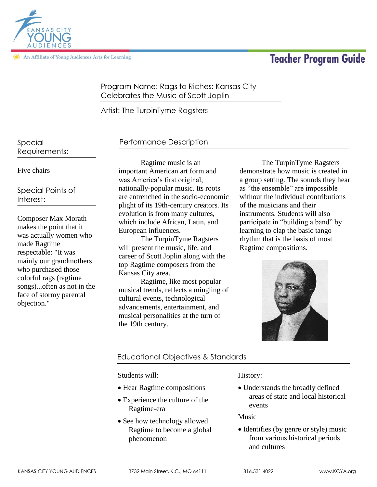**Teacher Program Guide** 



An Affiliate of Young Audiences Arts for Learning

# Program Name: Rags to Riches: Kansas City Celebrates the Music of Scott Joplin

Artist: The TurpinTyme Ragsters

Special Requirements:

# Five chairs

Special Points of Interest:

Composer Max Morath makes the point that it was actually women who made Ragtime respectable: "It was mainly our grandmothers who purchased those colorful rags (ragtime songs)...often as not in the face of stormy parental objection."

# Performance Description

Ragtime music is an important American art form and was America's first original, nationally-popular music. Its roots are entrenched in the socio-economic plight of its 19th-century creators. Its evolution is from many cultures, which include African, Latin, and European influences.

The TurpinTyme Ragsters will present the music, life, and career of Scott Joplin along with the top Ragtime composers from the Kansas City area.

Ragtime, like most popular musical trends, reflects a mingling of cultural events, technological advancements, entertainment, and musical personalities at the turn of the 19th century.

The TurpinTyme Ragsters demonstrate how music is created in a group setting. The sounds they hear as "the ensemble" are impossible without the individual contributions of the musicians and their instruments. Students will also participate in "building a band" by learning to clap the basic tango rhythm that is the basis of most Ragtime compositions.



# Educational Objectives & Standards

Students will:

- Hear Ragtime compositions
- Experience the culture of the Ragtime-era
- See how technology allowed Ragtime to become a global phenomenon

History:

 Understands the broadly defined areas of state and local historical events

Music

• Identifies (by genre or style) music from various historical periods and cultures